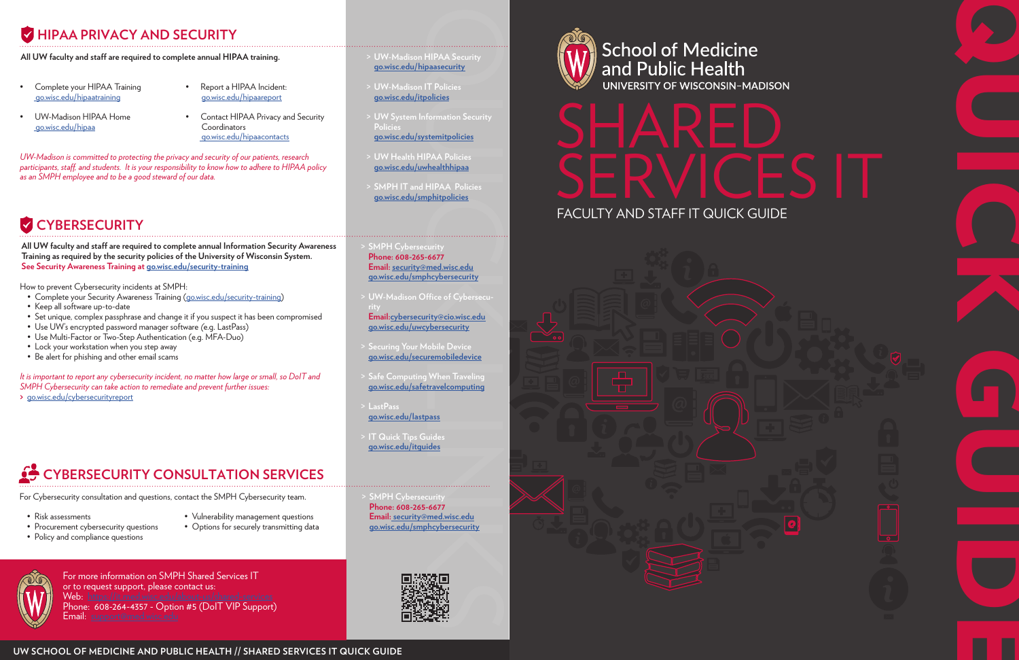



For more information on SMPH Shared Services IT or to request support, please contact us: Web: [https://it.med.wisc.edu/about-us/shared-services](https://it.med.wisc.edu/about-us/shared-services/)

Phone: 608-264-4357 - Option #5 (DoIT VIP Support) Email: [support@med.wisc.edu](mailto:support%40med.wisc.edu?subject=)



## **HIPAA PRIVACY AND SECURITY**

- Complete your HIPAA Training [go.wisc.edu/hipaatraining](https://compliance.wisc.edu/hipaa/training/)
- UW-Madison HIPAA Home [go.wisc.edu/hipaa](https://compliance.wisc.edu/hipaa/)
- Report a HIPAA Incident: [go.wisc.edu/hipaareport](https://uwmadison.co1.qualtrics.com/jfe/form/SV_czGcxQ52BCGmPul)
- Contact HIPAA Privacy and Security **Coordinators** [go.wisc.edu/hipaacontacts](https://compliance.wisc.edu/hipaa/coordinators/)



How to prevent Cybersecurity incidents at SMPH:

- Complete your Security Awareness Training ([go.wisc.edu/security-](https://www.talent.wisc.edu/catalog/)training)
- Keep all software up-to-date
- Set unique, complex passphrase and change it if you suspect it has been compromised
- Use UW's encrypted password manager software (e.g. LastPass)
- Use Multi-Factor or Two-Step Authentication (e.g. MFA-Duo)
- Lock your workstation when you step away
- Be alert for phishing and other email scams

, *participants, staff, and students. It is your responsibility to know how to adhere to HIPAA policy UW-Madison is committed to protecting the privacy and security of our patients, research as an SMPH employee and to be a good steward of our data.*

# **CYBERSECURITY**

*It is important to report any cybersecurity incident, no matter how large or small, so DoIT and SMPH Cybersecurity can take action to remediate and prevent further issues:*

**>** [go.wisc.edu/cybersecurityreport](https://it.wisc.edu/reporting-an-incident-to-it-security/)

# **CYBERSECURITY CONSULTATION SERVICES**

- > **UW-Madison IT Policies [go.wisc.edu/itpolicies](https://it.wisc.edu/it-community/governance/information-technology-committee-itc/it-policies/)**
- > **UW System Information Security Policies**
- **[go.wisc.edu/systemitpolicies](https://www.wisconsin.edu/information-security/)**
- > **UW Health HIPAA Policies [go.wisc.edu/uwhealthhipaa](https://www.uwhealth.org/patient-guides/medical-records-billing/hipaa-and-patient-privacy-information/10176)**
- > **SMPH IT and HIPAA Policies [go.wisc.edu/smphitpolicies](https://intranet.med.wisc.edu/policies/)**
- **SMPH Cybersecurity Phone: 608-265-6677 Email: [security@med.wisc.edu](mailto:security%40med.wisc.edu?subject=) [go.wisc.edu/smphcybersecurity](https://it.med.wisc.edu/about-us/networking-and-security/)**
- > **UW-Madison Office of Cybersecu-Email:[cybersecurity@cio.wisc.edu](mailto:cybersecurity%40cio.wisc.edu?subject=) [go.wisc.edu/uwcybersecurity](https://it.wisc.edu/about/division-of-information-technology/enterprise-information-security-services/cybersecurity/)**
- > **Securing Your Mobile Device [go.wisc.edu/securemobiledevice](https://it.wisc.edu/learn/guides/securing-mobile-device/)**
- > **Safe Computing When Traveling [go.wisc.edu/safetravelcomputing](https://it.wisc.edu/news/protect-data-devices-traveling-holiday/)**
- > **LastPass [go.wisc.edu/lastpass](https://kb.wisc.edu/internal/94884)**
- > **IT Quick Tips Guides [go.wisc.edu/itguides](https://it.wisc.edu/learn/guides/)**
- HIPAA Security<br>paasecurity<br>(T Policies<br>olicies<br>formation Security<br>stemitpolicies<br>PAA Policies<br>PAA Policies<br>phippolicies<br>PAA Policies<br>phippolicies<br>phippolicies<br>phippolicies<br>unity<br>considers they bersecurity<br>fice of Cybersecu **SMPH Cybersecurity Phone: 608-265-6677 Email[: security@med.wisc.edu](mailto:%20security%40med.wisc.edu?subject=) [go.wisc.edu/smphcybersecurity](https://it.med.wisc.edu/about-us/networking-and-security/)**



**School of Medicine** and Public Health<br>
UNIVERSITY OF WISCONSIN-MADISON

**All UW faculty and staff are required to complete annual Information Security Awareness Training as required by the security policies of the University of Wisconsin System. See Security Awareness Training at [go.wisc.edu/security-training](https://www.talent.wisc.edu/catalog/)**

For Cybersecurity consultation and questions, contact the SMPH Cybersecurity team.

- Risk assessments
- Procurement cybersecurity questions
- Policy and compliance questions
- 
- 
- Vulnerability management questions
- Options for securely transmitting data



### **All UW faculty and staff are required to complete annual HIPAA training.**